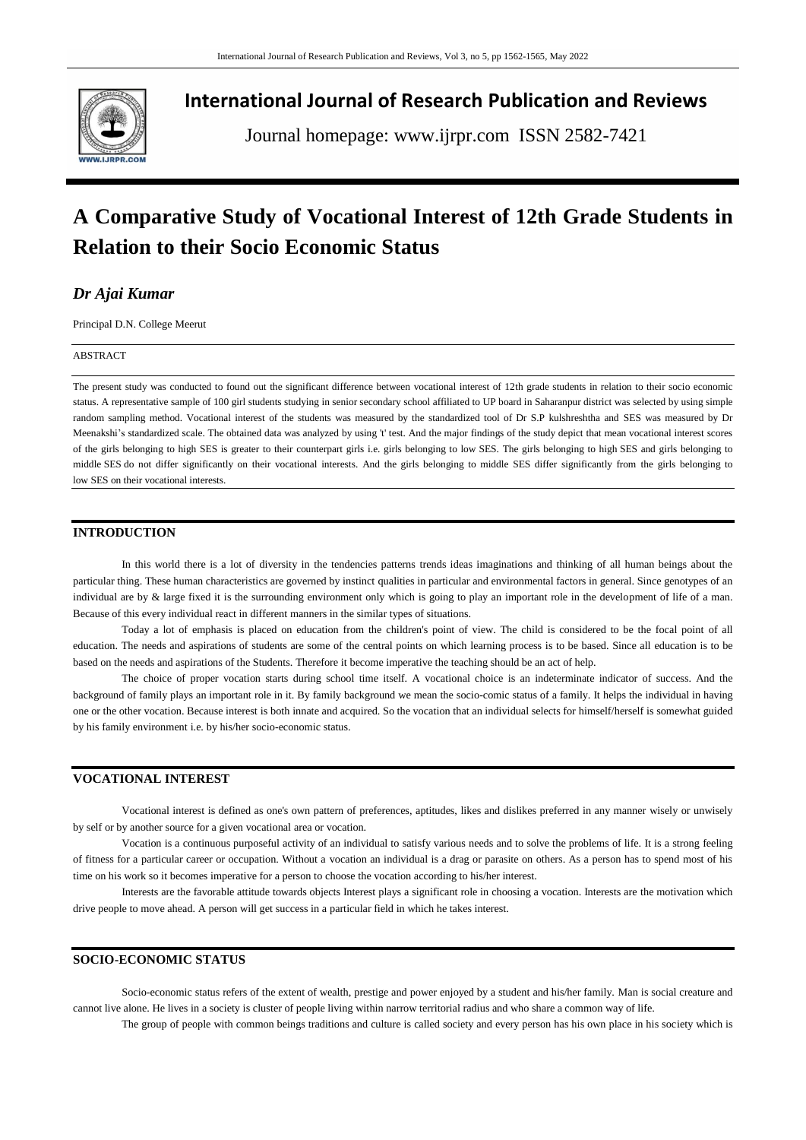

# **International Journal of Research Publication and Reviews**

Journal homepage: www.ijrpr.com ISSN 2582-7421

# **A Comparative Study of Vocational Interest of 12th Grade Students in Relation to their Socio Economic Status**

# *Dr Ajai Kumar*

Principal D.N. College Meerut

#### ABSTRACT

The present study was conducted to found out the significant difference between vocational interest of 12th grade students in relation to their socio economic status. A representative sample of 100 girl students studying in senior secondary school affiliated to UP board in Saharanpur district was selected by using simple random sampling method. Vocational interest of the students was measured by the standardized tool of Dr S.P kulshreshtha and SES was measured by Dr Meenakshi's standardized scale. The obtained data was analyzed by using 't' test. And the major findings of the study depict that mean vocational interest scores of the girls belonging to high SES is greater to their counterpart girls i.e. girls belonging to low SES. The girls belonging to high SES and girls belonging to middle SES do not differ significantly on their vocational interests. And the girls belonging to middle SES differ significantly from the girls belonging to low SES on their vocational interests.

# **INTRODUCTION**

In this world there is a lot of diversity in the tendencies patterns trends ideas imaginations and thinking of all human beings about the particular thing. These human characteristics are governed by instinct qualities in particular and environmental factors in general. Since genotypes of an individual are by & large fixed it is the surrounding environment only which is going to play an important role in the development of life of a man. Because of this every individual react in different manners in the similar types of situations.

Today a lot of emphasis is placed on education from the children's point of view. The child is considered to be the focal point of all education. The needs and aspirations of students are some of the central points on which learning process is to be based. Since all education is to be based on the needs and aspirations of the Students. Therefore it become imperative the teaching should be an act of help.

The choice of proper vocation starts during school time itself. A vocational choice is an indeterminate indicator of success. And the background of family plays an important role in it. By family background we mean the socio-comic status of a family. It helps the individual in having one or the other vocation. Because interest is both innate and acquired. So the vocation that an individual selects for himself/herself is somewhat guided by his family environment i.e. by his/her socio-economic status.

# **VOCATIONAL INTEREST**

Vocational interest is defined as one's own pattern of preferences, aptitudes, likes and dislikes preferred in any manner wisely or unwisely by self or by another source for a given vocational area or vocation.

Vocation is a continuous purposeful activity of an individual to satisfy various needs and to solve the problems of life. It is a strong feeling of fitness for a particular career or occupation. Without a vocation an individual is a drag or parasite on others. As a person has to spend most of his time on his work so it becomes imperative for a person to choose the vocation according to his/her interest.

Interests are the favorable attitude towards objects Interest plays a significant role in choosing a vocation. Interests are the motivation which drive people to move ahead. A person will get success in a particular field in which he takes interest.

# **SOCIO-ECONOMIC STATUS**

Socio-economic status refers of the extent of wealth, prestige and power enjoyed by a student and his/her family. Man is social creature and cannot live alone. He lives in a society is cluster of people living within narrow territorial radius and who share a common way of life.

The group of people with common beings traditions and culture is called society and every person has his own place in his society which is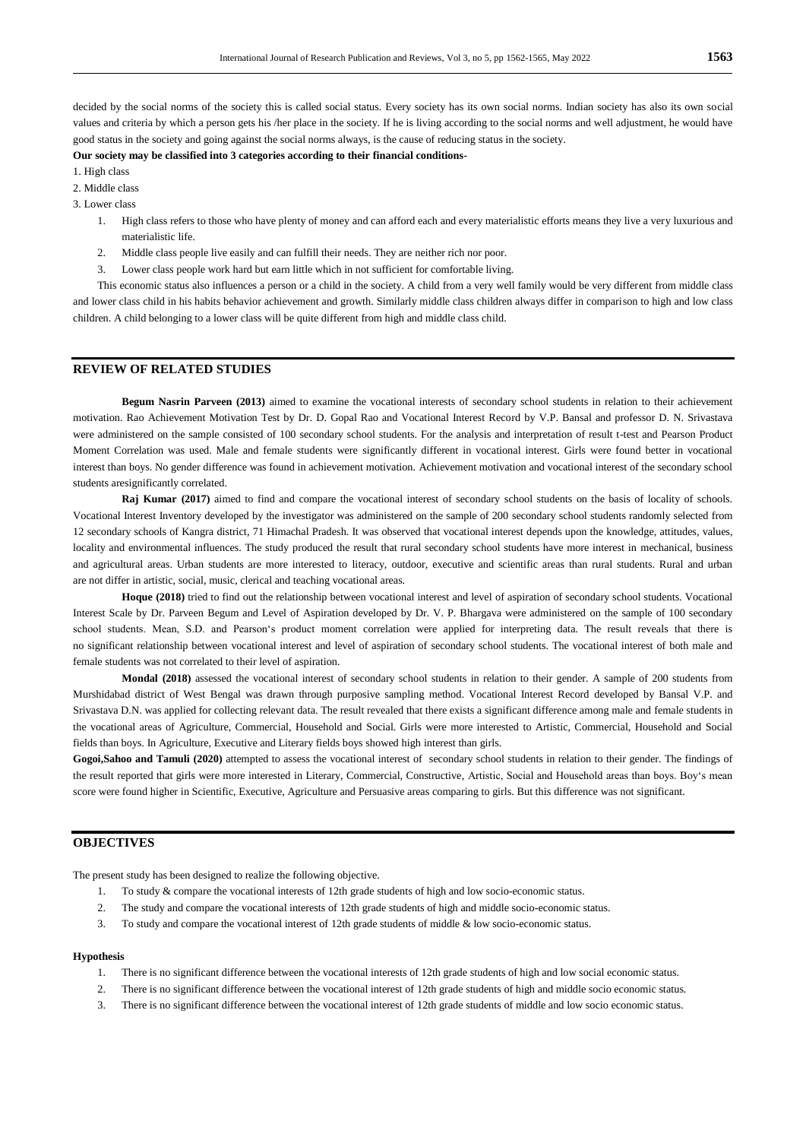decided by the social norms of the society this is called social status. Every society has its own social norms. Indian society has also its own social values and criteria by which a person gets his /her place in the society. If he is living according to the social norms and well adjustment, he would have good status in the society and going against the social norms always, is the cause of reducing status in the society.

# **Our society may be classified into 3 categories according to their financial conditions-**

1. High class

2. Middle class

3. Lower class

- 1. High class refers to those who have plenty of money and can afford each and every materialistic efforts means they live a very luxurious and materialistic life.
- 2. Middle class people live easily and can fulfill their needs. They are neither rich nor poor.
- 3. Lower class people work hard but earn little which in not sufficient for comfortable living.

This economic status also influences a person or a child in the society. A child from a very well family would be very different from middle class and lower class child in his habits behavior achievement and growth. Similarly middle class children always differ in comparison to high and low class children. A child belonging to a lower class will be quite different from high and middle class child.

# **REVIEW OF RELATED STUDIES**

**Begum Nasrin Parveen (2013)** aimed to examine the vocational interests of secondary school students in relation to their achievement motivation. Rao Achievement Motivation Test by Dr. D. Gopal Rao and Vocational Interest Record by V.P. Bansal and professor D. N. Srivastava were administered on the sample consisted of 100 secondary school students. For the analysis and interpretation of result t-test and Pearson Product Moment Correlation was used. Male and female students were significantly different in vocational interest. Girls were found better in vocational interest than boys. No gender difference was found in achievement motivation. Achievement motivation and vocational interest of the secondary school students aresignificantly correlated.

**Raj Kumar (2017)** aimed to find and compare the vocational interest of secondary school students on the basis of locality of schools. Vocational Interest Inventory developed by the investigator was administered on the sample of 200 secondary school students randomly selected from 12 secondary schools of Kangra district, 71 Himachal Pradesh. It was observed that vocational interest depends upon the knowledge, attitudes, values, locality and environmental influences. The study produced the result that rural secondary school students have more interest in mechanical, business and agricultural areas. Urban students are more interested to literacy, outdoor, executive and scientific areas than rural students. Rural and urban are not differ in artistic, social, music, clerical and teaching vocational areas.

**Hoque (2018)** tried to find out the relationship between vocational interest and level of aspiration of secondary school students. Vocational Interest Scale by Dr. Parveen Begum and Level of Aspiration developed by Dr. V. P. Bhargava were administered on the sample of 100 secondary school students. Mean, S.D. and Pearson's product moment correlation were applied for interpreting data. The result reveals that there is no significant relationship between vocational interest and level of aspiration of secondary school students. The vocational interest of both male and female students was not correlated to their level of aspiration.

**Mondal (2018)** assessed the vocational interest of secondary school students in relation to their gender. A sample of 200 students from Murshidabad district of West Bengal was drawn through purposive sampling method. Vocational Interest Record developed by Bansal V.P. and Srivastava D.N. was applied for collecting relevant data. The result revealed that there exists a significant difference among male and female students in the vocational areas of Agriculture, Commercial, Household and Social. Girls were more interested to Artistic, Commercial, Household and Social fields than boys. In Agriculture, Executive and Literary fields boys showed high interest than girls.

Gogoi,Sahoo and Tamuli (2020) attempted to assess the vocational interest of secondary school students in relation to their gender. The findings of the result reported that girls were more interested in Literary, Commercial, Constructive, Artistic, Social and Household areas than boys. Boy's mean score were found higher in Scientific, Executive, Agriculture and Persuasive areas comparing to girls. But this difference was not significant.

# **OBJECTIVES**

The present study has been designed to realize the following objective.

- 1. To study & compare the vocational interests of 12th grade students of high and low socio-economic status.
- 2. The study and compare the vocational interests of 12th grade students of high and middle socio-economic status.
- 3. To study and compare the vocational interest of 12th grade students of middle & low socio-economic status.

#### **Hypothesis**

- 1. There is no significant difference between the vocational interests of 12th grade students of high and low social economic status.
- 2. There is no significant difference between the vocational interest of 12th grade students of high and middle socio economic status.
- 3. There is no significant difference between the vocational interest of 12th grade students of middle and low socio economic status.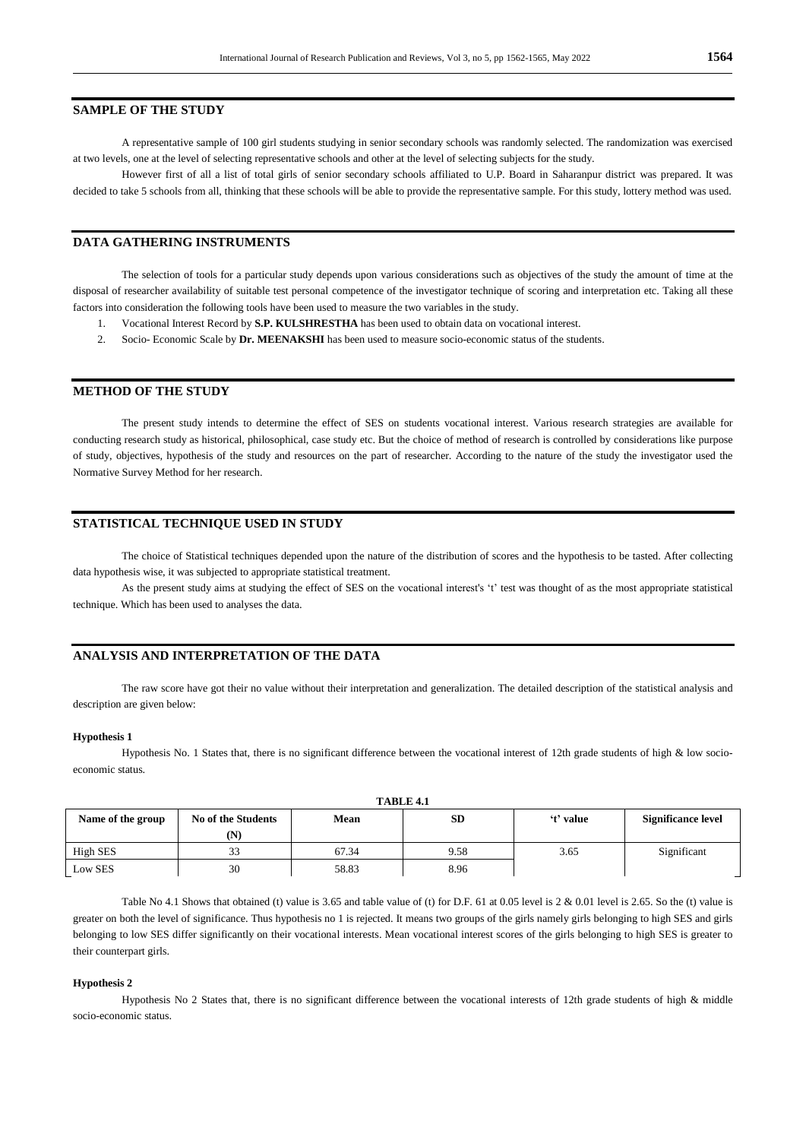# **SAMPLE OF THE STUDY**

A representative sample of 100 girl students studying in senior secondary schools was randomly selected. The randomization was exercised at two levels, one at the level of selecting representative schools and other at the level of selecting subjects for the study.

However first of all a list of total girls of senior secondary schools affiliated to U.P. Board in Saharanpur district was prepared. It was decided to take 5 schools from all, thinking that these schools will be able to provide the representative sample. For this study, lottery method was used.

#### **DATA GATHERING INSTRUMENTS**

The selection of tools for a particular study depends upon various considerations such as objectives of the study the amount of time at the disposal of researcher availability of suitable test personal competence of the investigator technique of scoring and interpretation etc. Taking all these factors into consideration the following tools have been used to measure the two variables in the study.

- 1. Vocational Interest Record by **S.P. KULSHRESTHA** has been used to obtain data on vocational interest.
- 2. Socio- Economic Scale by **Dr. MEENAKSHI** has been used to measure socio-economic status of the students.

## **METHOD OF THE STUDY**

The present study intends to determine the effect of SES on students vocational interest. Various research strategies are available for conducting research study as historical, philosophical, case study etc. But the choice of method of research is controlled by considerations like purpose of study, objectives, hypothesis of the study and resources on the part of researcher. According to the nature of the study the investigator used the Normative Survey Method for her research.

## **STATISTICAL TECHNIQUE USED IN STUDY**

The choice of Statistical techniques depended upon the nature of the distribution of scores and the hypothesis to be tasted. After collecting data hypothesis wise, it was subjected to appropriate statistical treatment.

As the present study aims at studying the effect of SES on the vocational interest's 't' test was thought of as the most appropriate statistical technique. Which has been used to analyses the data.

#### **ANALYSIS AND INTERPRETATION OF THE DATA**

The raw score have got their no value without their interpretation and generalization. The detailed description of the statistical analysis and description are given below:

#### **Hypothesis 1**

Hypothesis No. 1 States that, there is no significant difference between the vocational interest of 12th grade students of high & low socioeconomic status.

**TABLE 4.1**

| Name of the group | No of the Students<br>(N) | Mean  | SD   | 't' value | <b>Significance level</b> |
|-------------------|---------------------------|-------|------|-----------|---------------------------|
| High SES          | 33                        | 67.34 | 9.58 | 3.65      | Significant               |
| Low SES           | 30                        | 58.83 | 8.96 |           |                           |

Table No 4.1 Shows that obtained (t) value is 3.65 and table value of (t) for D.F. 61 at 0.05 level is 2 & 0.01 level is 2.65. So the (t) value is greater on both the level of significance. Thus hypothesis no 1 is rejected. It means two groups of the girls namely girls belonging to high SES and girls belonging to low SES differ significantly on their vocational interests. Mean vocational interest scores of the girls belonging to high SES is greater to their counterpart girls.

#### **Hypothesis 2**

Hypothesis No 2 States that, there is no significant difference between the vocational interests of 12th grade students of high & middle socio-economic status.